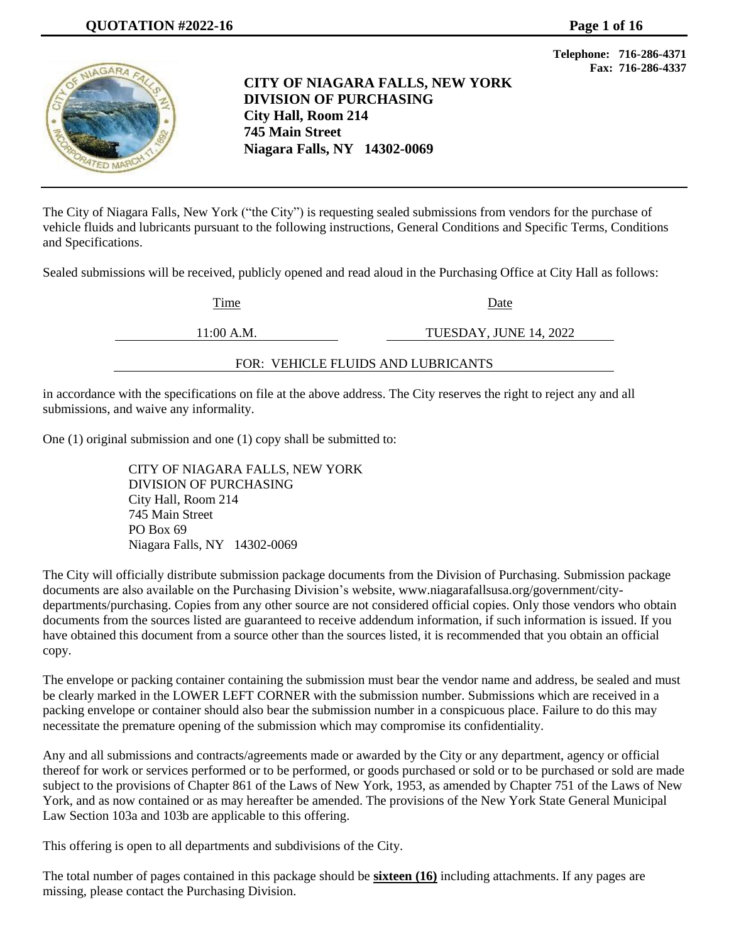

**CITY OF NIAGARA FALLS, NEW YORK DIVISION OF PURCHASING City Hall, Room 214 745 Main Street Niagara Falls, NY 14302-0069**

**Telephone: 716-286-4371 Fax: 716-286-4337**

The City of Niagara Falls, New York ("the City") is requesting sealed submissions from vendors for the purchase of vehicle fluids and lubricants pursuant to the following instructions, General Conditions and Specific Terms, Conditions and Specifications.

Sealed submissions will be received, publicly opened and read aloud in the Purchasing Office at City Hall as follows:

Time Date

11:00 A.M. TUESDAY, JUNE 14, 2022

FOR: VEHICLE FLUIDS AND LUBRICANTS

in accordance with the specifications on file at the above address. The City reserves the right to reject any and all submissions, and waive any informality.

One (1) original submission and one (1) copy shall be submitted to:

CITY OF NIAGARA FALLS, NEW YORK DIVISION OF PURCHASING City Hall, Room 214 745 Main Street PO Box 69 Niagara Falls, NY 14302-0069

The City will officially distribute submission package documents from the Division of Purchasing. Submission package documents are also available on the Purchasing Division's website, [www.niagarafallsusa.org/government/city](http://www.niagarafallsusa.org/government/city-departments/purchasing)[departments/purchasing.](http://www.niagarafallsusa.org/government/city-departments/purchasing) Copies from any other source are not considered official copies. Only those vendors who obtain documents from the sources listed are guaranteed to receive addendum information, if such information is issued. If you have obtained this document from a source other than the sources listed, it is recommended that you obtain an official copy.

The envelope or packing container containing the submission must bear the vendor name and address, be sealed and must be clearly marked in the LOWER LEFT CORNER with the submission number. Submissions which are received in a packing envelope or container should also bear the submission number in a conspicuous place. Failure to do this may necessitate the premature opening of the submission which may compromise its confidentiality.

Any and all submissions and contracts/agreements made or awarded by the City or any department, agency or official thereof for work or services performed or to be performed, or goods purchased or sold or to be purchased or sold are made subject to the provisions of Chapter 861 of the Laws of New York, 1953, as amended by Chapter 751 of the Laws of New York, and as now contained or as may hereafter be amended. The provisions of the New York State General Municipal Law Section 103a and 103b are applicable to this offering.

This offering is open to all departments and subdivisions of the City.

The total number of pages contained in this package should be **sixteen (16)** including attachments. If any pages are missing, please contact the Purchasing Division.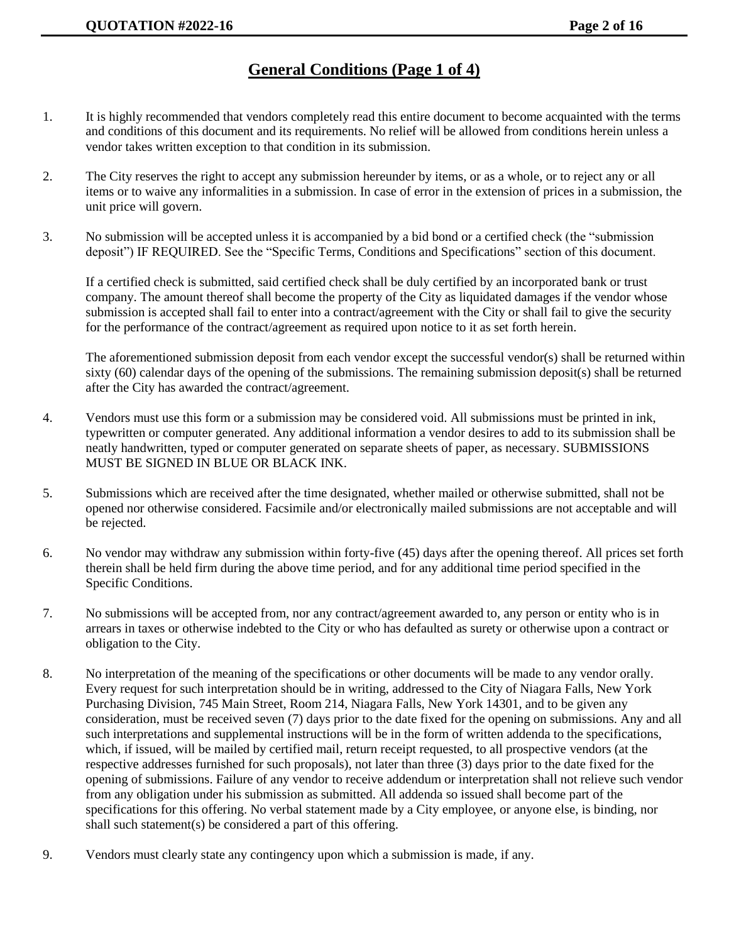## **General Conditions (Page 1 of 4)**

- 1. It is highly recommended that vendors completely read this entire document to become acquainted with the terms and conditions of this document and its requirements. No relief will be allowed from conditions herein unless a vendor takes written exception to that condition in its submission.
- 2. The City reserves the right to accept any submission hereunder by items, or as a whole, or to reject any or all items or to waive any informalities in a submission. In case of error in the extension of prices in a submission, the unit price will govern.
- 3. No submission will be accepted unless it is accompanied by a bid bond or a certified check (the "submission deposit") IF REQUIRED. See the "Specific Terms, Conditions and Specifications" section of this document.

If a certified check is submitted, said certified check shall be duly certified by an incorporated bank or trust company. The amount thereof shall become the property of the City as liquidated damages if the vendor whose submission is accepted shall fail to enter into a contract/agreement with the City or shall fail to give the security for the performance of the contract/agreement as required upon notice to it as set forth herein.

The aforementioned submission deposit from each vendor except the successful vendor(s) shall be returned within sixty (60) calendar days of the opening of the submissions. The remaining submission deposit(s) shall be returned after the City has awarded the contract/agreement.

- 4. Vendors must use this form or a submission may be considered void. All submissions must be printed in ink, typewritten or computer generated. Any additional information a vendor desires to add to its submission shall be neatly handwritten, typed or computer generated on separate sheets of paper, as necessary. SUBMISSIONS MUST BE SIGNED IN BLUE OR BLACK INK.
- 5. Submissions which are received after the time designated, whether mailed or otherwise submitted, shall not be opened nor otherwise considered. Facsimile and/or electronically mailed submissions are not acceptable and will be rejected.
- 6. No vendor may withdraw any submission within forty-five (45) days after the opening thereof. All prices set forth therein shall be held firm during the above time period, and for any additional time period specified in the Specific Conditions.
- 7. No submissions will be accepted from, nor any contract/agreement awarded to, any person or entity who is in arrears in taxes or otherwise indebted to the City or who has defaulted as surety or otherwise upon a contract or obligation to the City.
- 8. No interpretation of the meaning of the specifications or other documents will be made to any vendor orally. Every request for such interpretation should be in writing, addressed to the City of Niagara Falls, New York Purchasing Division, 745 Main Street, Room 214, Niagara Falls, New York 14301, and to be given any consideration, must be received seven (7) days prior to the date fixed for the opening on submissions. Any and all such interpretations and supplemental instructions will be in the form of written addenda to the specifications, which, if issued, will be mailed by certified mail, return receipt requested, to all prospective vendors (at the respective addresses furnished for such proposals), not later than three (3) days prior to the date fixed for the opening of submissions. Failure of any vendor to receive addendum or interpretation shall not relieve such vendor from any obligation under his submission as submitted. All addenda so issued shall become part of the specifications for this offering. No verbal statement made by a City employee, or anyone else, is binding, nor shall such statement(s) be considered a part of this offering.
- 9. Vendors must clearly state any contingency upon which a submission is made, if any.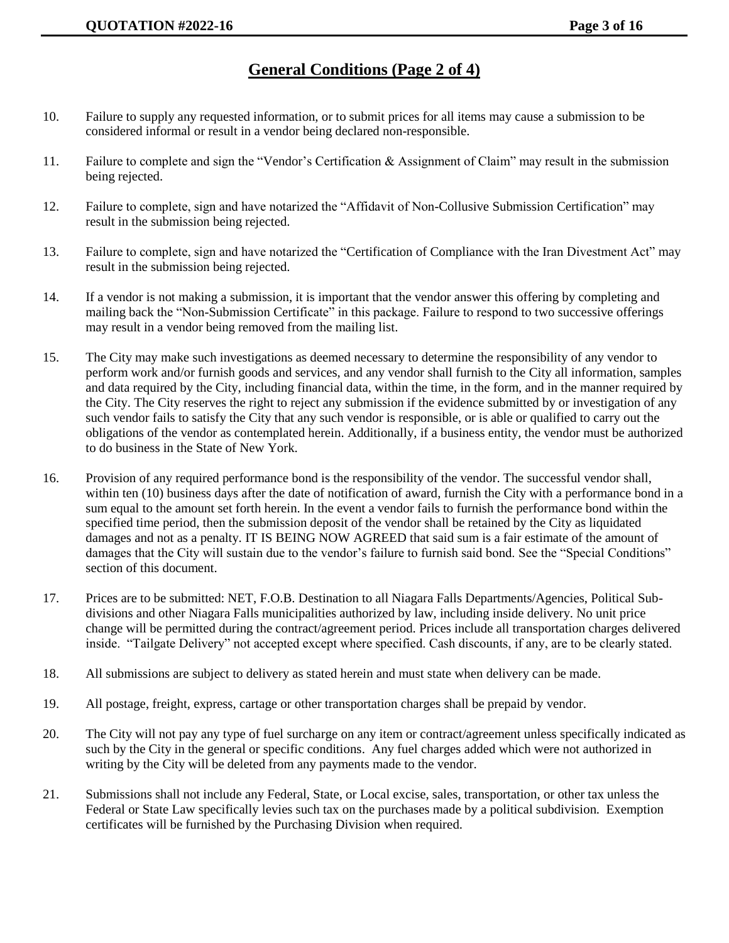## **General Conditions (Page 2 of 4)**

- 10. Failure to supply any requested information, or to submit prices for all items may cause a submission to be considered informal or result in a vendor being declared non-responsible.
- 11. Failure to complete and sign the "Vendor's Certification & Assignment of Claim" may result in the submission being rejected.
- 12. Failure to complete, sign and have notarized the "Affidavit of Non-Collusive Submission Certification" may result in the submission being rejected.
- 13. Failure to complete, sign and have notarized the "Certification of Compliance with the Iran Divestment Act" may result in the submission being rejected.
- 14. If a vendor is not making a submission, it is important that the vendor answer this offering by completing and mailing back the "Non-Submission Certificate" in this package. Failure to respond to two successive offerings may result in a vendor being removed from the mailing list.
- 15. The City may make such investigations as deemed necessary to determine the responsibility of any vendor to perform work and/or furnish goods and services, and any vendor shall furnish to the City all information, samples and data required by the City, including financial data, within the time, in the form, and in the manner required by the City. The City reserves the right to reject any submission if the evidence submitted by or investigation of any such vendor fails to satisfy the City that any such vendor is responsible, or is able or qualified to carry out the obligations of the vendor as contemplated herein. Additionally, if a business entity, the vendor must be authorized to do business in the State of New York.
- 16. Provision of any required performance bond is the responsibility of the vendor. The successful vendor shall, within ten (10) business days after the date of notification of award, furnish the City with a performance bond in a sum equal to the amount set forth herein. In the event a vendor fails to furnish the performance bond within the specified time period, then the submission deposit of the vendor shall be retained by the City as liquidated damages and not as a penalty. IT IS BEING NOW AGREED that said sum is a fair estimate of the amount of damages that the City will sustain due to the vendor's failure to furnish said bond. See the "Special Conditions" section of this document.
- 17. Prices are to be submitted: NET, F.O.B. Destination to all Niagara Falls Departments/Agencies, Political Subdivisions and other Niagara Falls municipalities authorized by law, including inside delivery. No unit price change will be permitted during the contract/agreement period. Prices include all transportation charges delivered inside. "Tailgate Delivery" not accepted except where specified. Cash discounts, if any, are to be clearly stated.
- 18. All submissions are subject to delivery as stated herein and must state when delivery can be made.
- 19. All postage, freight, express, cartage or other transportation charges shall be prepaid by vendor.
- 20. The City will not pay any type of fuel surcharge on any item or contract/agreement unless specifically indicated as such by the City in the general or specific conditions. Any fuel charges added which were not authorized in writing by the City will be deleted from any payments made to the vendor.
- 21. Submissions shall not include any Federal, State, or Local excise, sales, transportation, or other tax unless the Federal or State Law specifically levies such tax on the purchases made by a political subdivision. Exemption certificates will be furnished by the Purchasing Division when required.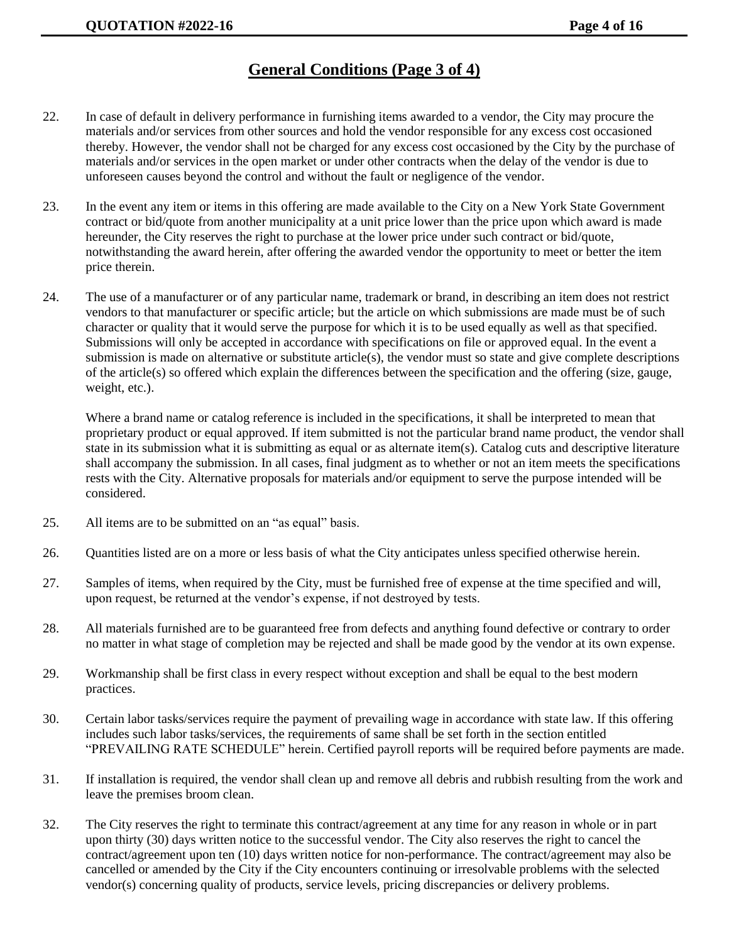## **General Conditions (Page 3 of 4)**

- 22. In case of default in delivery performance in furnishing items awarded to a vendor, the City may procure the materials and/or services from other sources and hold the vendor responsible for any excess cost occasioned thereby. However, the vendor shall not be charged for any excess cost occasioned by the City by the purchase of materials and/or services in the open market or under other contracts when the delay of the vendor is due to unforeseen causes beyond the control and without the fault or negligence of the vendor.
- 23. In the event any item or items in this offering are made available to the City on a New York State Government contract or bid/quote from another municipality at a unit price lower than the price upon which award is made hereunder, the City reserves the right to purchase at the lower price under such contract or bid/quote, notwithstanding the award herein, after offering the awarded vendor the opportunity to meet or better the item price therein.
- 24. The use of a manufacturer or of any particular name, trademark or brand, in describing an item does not restrict vendors to that manufacturer or specific article; but the article on which submissions are made must be of such character or quality that it would serve the purpose for which it is to be used equally as well as that specified. Submissions will only be accepted in accordance with specifications on file or approved equal. In the event a submission is made on alternative or substitute article(s), the vendor must so state and give complete descriptions of the article(s) so offered which explain the differences between the specification and the offering (size, gauge, weight, etc.).

Where a brand name or catalog reference is included in the specifications, it shall be interpreted to mean that proprietary product or equal approved. If item submitted is not the particular brand name product, the vendor shall state in its submission what it is submitting as equal or as alternate item(s). Catalog cuts and descriptive literature shall accompany the submission. In all cases, final judgment as to whether or not an item meets the specifications rests with the City. Alternative proposals for materials and/or equipment to serve the purpose intended will be considered.

- 25. All items are to be submitted on an "as equal" basis.
- 26. Quantities listed are on a more or less basis of what the City anticipates unless specified otherwise herein.
- 27. Samples of items, when required by the City, must be furnished free of expense at the time specified and will, upon request, be returned at the vendor's expense, if not destroyed by tests.
- 28. All materials furnished are to be guaranteed free from defects and anything found defective or contrary to order no matter in what stage of completion may be rejected and shall be made good by the vendor at its own expense.
- 29. Workmanship shall be first class in every respect without exception and shall be equal to the best modern practices.
- 30. Certain labor tasks/services require the payment of prevailing wage in accordance with state law. If this offering includes such labor tasks/services, the requirements of same shall be set forth in the section entitled "PREVAILING RATE SCHEDULE" herein. Certified payroll reports will be required before payments are made.
- 31. If installation is required, the vendor shall clean up and remove all debris and rubbish resulting from the work and leave the premises broom clean.
- 32. The City reserves the right to terminate this contract/agreement at any time for any reason in whole or in part upon thirty (30) days written notice to the successful vendor. The City also reserves the right to cancel the contract/agreement upon ten (10) days written notice for non-performance. The contract/agreement may also be cancelled or amended by the City if the City encounters continuing or irresolvable problems with the selected vendor(s) concerning quality of products, service levels, pricing discrepancies or delivery problems.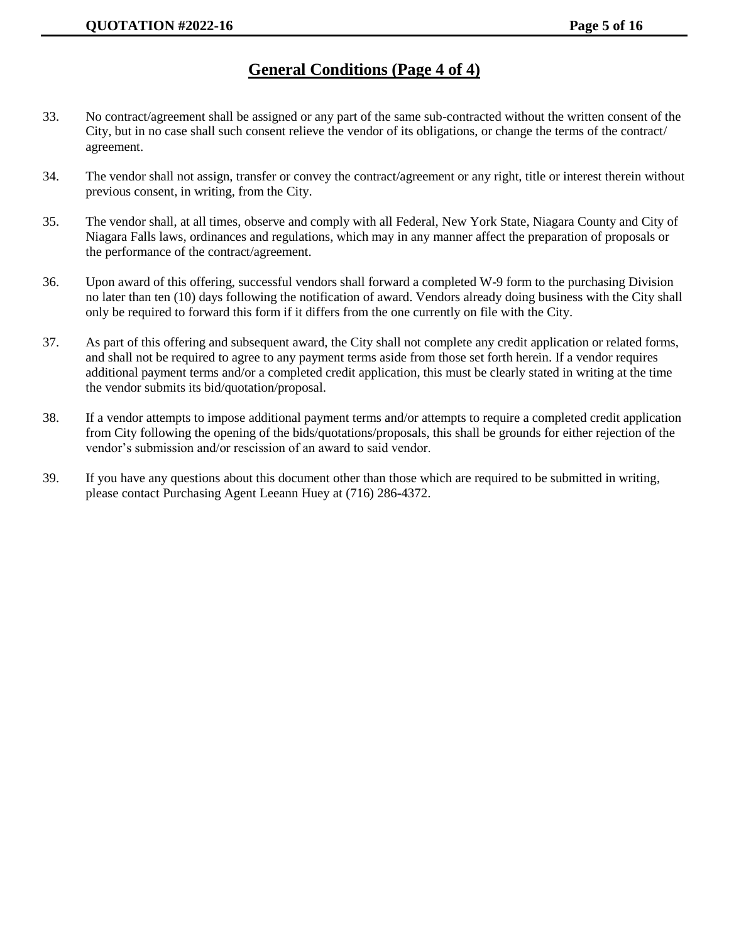## **General Conditions (Page 4 of 4)**

- 33. No contract/agreement shall be assigned or any part of the same sub-contracted without the written consent of the City, but in no case shall such consent relieve the vendor of its obligations, or change the terms of the contract/ agreement.
- 34. The vendor shall not assign, transfer or convey the contract/agreement or any right, title or interest therein without previous consent, in writing, from the City.
- 35. The vendor shall, at all times, observe and comply with all Federal, New York State, Niagara County and City of Niagara Falls laws, ordinances and regulations, which may in any manner affect the preparation of proposals or the performance of the contract/agreement.
- 36. Upon award of this offering, successful vendors shall forward a completed W-9 form to the purchasing Division no later than ten (10) days following the notification of award. Vendors already doing business with the City shall only be required to forward this form if it differs from the one currently on file with the City.
- 37. As part of this offering and subsequent award, the City shall not complete any credit application or related forms, and shall not be required to agree to any payment terms aside from those set forth herein. If a vendor requires additional payment terms and/or a completed credit application, this must be clearly stated in writing at the time the vendor submits its bid/quotation/proposal.
- 38. If a vendor attempts to impose additional payment terms and/or attempts to require a completed credit application from City following the opening of the bids/quotations/proposals, this shall be grounds for either rejection of the vendor's submission and/or rescission of an award to said vendor.
- 39. If you have any questions about this document other than those which are required to be submitted in writing, please contact Purchasing Agent Leeann Huey at (716) 286-4372.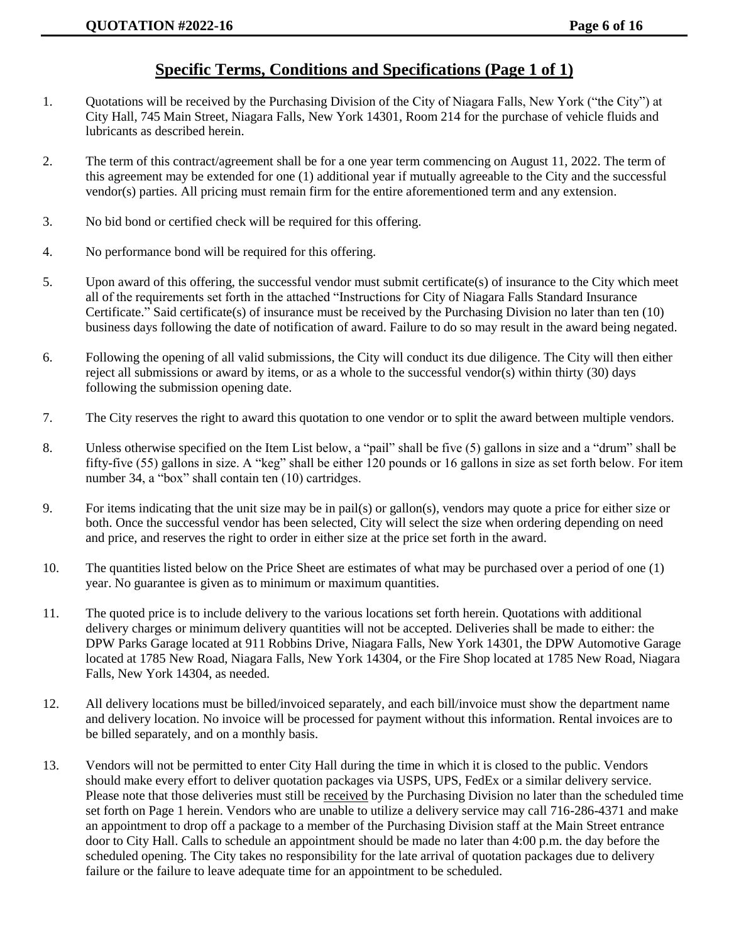### **Specific Terms, Conditions and Specifications (Page 1 of 1)**

- 1. Quotations will be received by the Purchasing Division of the City of Niagara Falls, New York ("the City") at City Hall, 745 Main Street, Niagara Falls, New York 14301, Room 214 for the purchase of vehicle fluids and lubricants as described herein.
- 2. The term of this contract/agreement shall be for a one year term commencing on August 11, 2022. The term of this agreement may be extended for one (1) additional year if mutually agreeable to the City and the successful vendor(s) parties. All pricing must remain firm for the entire aforementioned term and any extension.
- 3. No bid bond or certified check will be required for this offering.
- 4. No performance bond will be required for this offering.
- 5. Upon award of this offering, the successful vendor must submit certificate(s) of insurance to the City which meet all of the requirements set forth in the attached "Instructions for City of Niagara Falls Standard Insurance Certificate." Said certificate(s) of insurance must be received by the Purchasing Division no later than ten (10) business days following the date of notification of award. Failure to do so may result in the award being negated.
- 6. Following the opening of all valid submissions, the City will conduct its due diligence. The City will then either reject all submissions or award by items, or as a whole to the successful vendor(s) within thirty (30) days following the submission opening date.
- 7. The City reserves the right to award this quotation to one vendor or to split the award between multiple vendors.
- 8. Unless otherwise specified on the Item List below, a "pail" shall be five (5) gallons in size and a "drum" shall be fifty-five (55) gallons in size. A "keg" shall be either 120 pounds or 16 gallons in size as set forth below. For item number 34, a "box" shall contain ten (10) cartridges.
- 9. For items indicating that the unit size may be in pail(s) or gallon(s), vendors may quote a price for either size or both. Once the successful vendor has been selected, City will select the size when ordering depending on need and price, and reserves the right to order in either size at the price set forth in the award.
- 10. The quantities listed below on the Price Sheet are estimates of what may be purchased over a period of one (1) year. No guarantee is given as to minimum or maximum quantities.
- 11. The quoted price is to include delivery to the various locations set forth herein. Quotations with additional delivery charges or minimum delivery quantities will not be accepted. Deliveries shall be made to either: the DPW Parks Garage located at 911 Robbins Drive, Niagara Falls, New York 14301, the DPW Automotive Garage located at 1785 New Road, Niagara Falls, New York 14304, or the Fire Shop located at 1785 New Road, Niagara Falls, New York 14304, as needed.
- 12. All delivery locations must be billed/invoiced separately, and each bill/invoice must show the department name and delivery location. No invoice will be processed for payment without this information. Rental invoices are to be billed separately, and on a monthly basis.
- 13. Vendors will not be permitted to enter City Hall during the time in which it is closed to the public. Vendors should make every effort to deliver quotation packages via USPS, UPS, FedEx or a similar delivery service. Please note that those deliveries must still be received by the Purchasing Division no later than the scheduled time set forth on Page 1 herein. Vendors who are unable to utilize a delivery service may call 716-286-4371 and make an appointment to drop off a package to a member of the Purchasing Division staff at the Main Street entrance door to City Hall. Calls to schedule an appointment should be made no later than 4:00 p.m. the day before the scheduled opening. The City takes no responsibility for the late arrival of quotation packages due to delivery failure or the failure to leave adequate time for an appointment to be scheduled.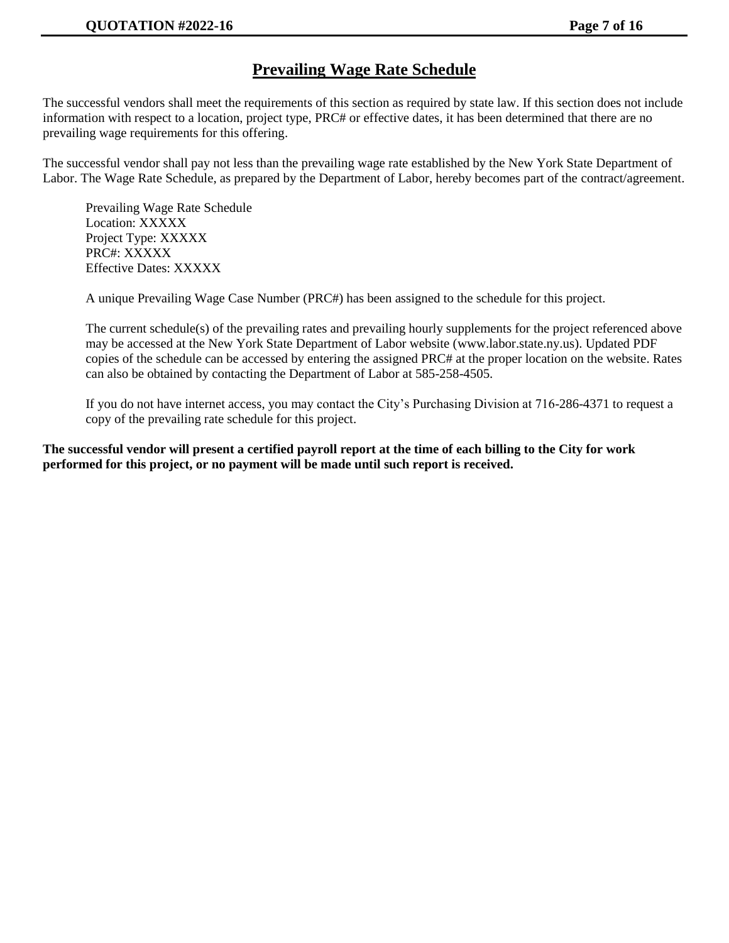## **Prevailing Wage Rate Schedule**

The successful vendors shall meet the requirements of this section as required by state law. If this section does not include information with respect to a location, project type, PRC# or effective dates, it has been determined that there are no prevailing wage requirements for this offering.

The successful vendor shall pay not less than the prevailing wage rate established by the New York State Department of Labor. The Wage Rate Schedule, as prepared by the Department of Labor, hereby becomes part of the contract/agreement.

Prevailing Wage Rate Schedule Location: XXXXX Project Type: XXXXX PRC#: XXXXX Effective Dates: XXXXX

A unique Prevailing Wage Case Number (PRC#) has been assigned to the schedule for this project.

The current schedule(s) of the prevailing rates and prevailing hourly supplements for the project referenced above may be accessed at the New York State Department of Labor website (www.labor.state.ny.us). Updated PDF copies of the schedule can be accessed by entering the assigned PRC# at the proper location on the website. Rates can also be obtained by contacting the Department of Labor at 585-258-4505.

If you do not have internet access, you may contact the City's Purchasing Division at 716-286-4371 to request a copy of the prevailing rate schedule for this project.

**The successful vendor will present a certified payroll report at the time of each billing to the City for work performed for this project, or no payment will be made until such report is received.**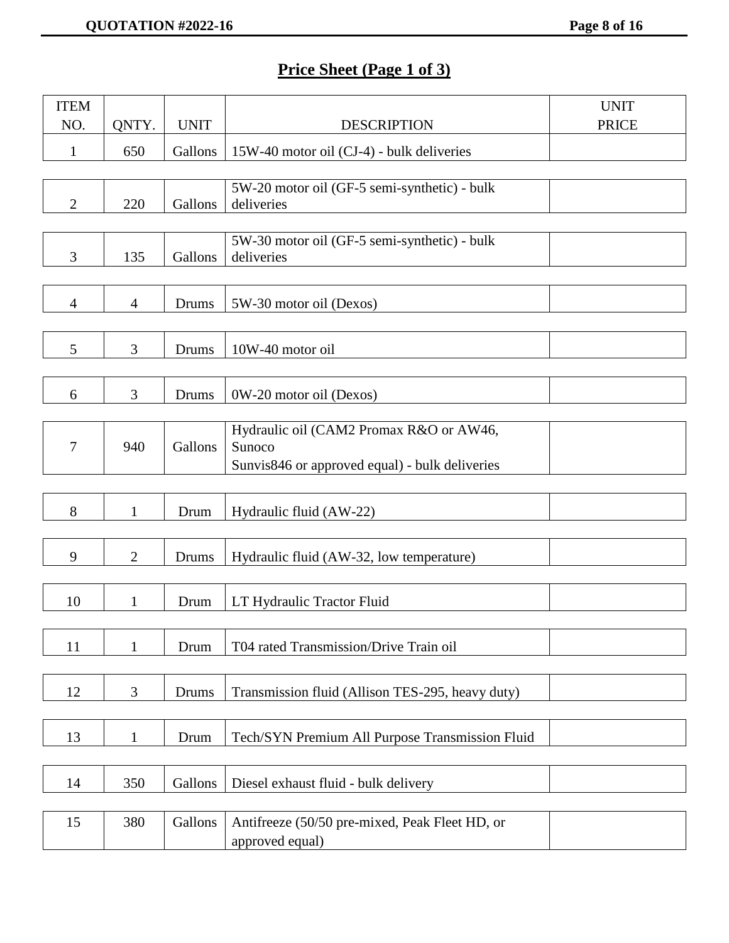# **Price Sheet (Page 1 of 3)**

| <b>ITEM</b>    |                |              |                                                            | <b>UNIT</b>  |
|----------------|----------------|--------------|------------------------------------------------------------|--------------|
| NO.            | QNTY.          | <b>UNIT</b>  | <b>DESCRIPTION</b>                                         | <b>PRICE</b> |
| $\mathbf{1}$   | 650            | Gallons      | 15W-40 motor oil (CJ-4) - bulk deliveries                  |              |
|                |                |              |                                                            |              |
| $\overline{2}$ | 220            | Gallons      | 5W-20 motor oil (GF-5 semi-synthetic) - bulk<br>deliveries |              |
|                |                |              |                                                            |              |
|                |                |              | 5W-30 motor oil (GF-5 semi-synthetic) - bulk               |              |
| 3              | 135            | Gallons      | deliveries                                                 |              |
|                |                |              |                                                            |              |
| $\overline{4}$ | $\overline{4}$ | Drums        | 5W-30 motor oil (Dexos)                                    |              |
|                |                |              |                                                            |              |
| 5              | $\overline{3}$ | Drums        | 10W-40 motor oil                                           |              |
|                |                |              |                                                            |              |
| 6              | 3              | <b>Drums</b> | 0W-20 motor oil (Dexos)                                    |              |
|                |                |              | Hydraulic oil (CAM2 Promax R&O or AW46,                    |              |
| 7              | 940            | Gallons      | Sunoco                                                     |              |
|                |                |              | Sunvis846 or approved equal) - bulk deliveries             |              |
|                |                |              |                                                            |              |
| 8              | $\mathbf{1}$   | Drum         | Hydraulic fluid (AW-22)                                    |              |
|                |                |              |                                                            |              |
| 9              | $\overline{2}$ | <b>Drums</b> | Hydraulic fluid (AW-32, low temperature)                   |              |
|                |                |              |                                                            |              |
| 10             | 1              | Drum         | LT Hydraulic Tractor Fluid                                 |              |
|                |                |              |                                                            |              |
| 11             | $\mathbf{1}$   | Drum         | T04 rated Transmission/Drive Train oil                     |              |
|                |                |              |                                                            |              |
| 12             | 3              | Drums        | Transmission fluid (Allison TES-295, heavy duty)           |              |
|                |                |              |                                                            |              |
| 13             | $\mathbf{1}$   | Drum         | Tech/SYN Premium All Purpose Transmission Fluid            |              |
|                |                |              |                                                            |              |
| 14             | 350            | Gallons      | Diesel exhaust fluid - bulk delivery                       |              |
|                |                |              |                                                            |              |
| 15             | 380            | Gallons      | Antifreeze (50/50 pre-mixed, Peak Fleet HD, or             |              |
|                |                |              | approved equal)                                            |              |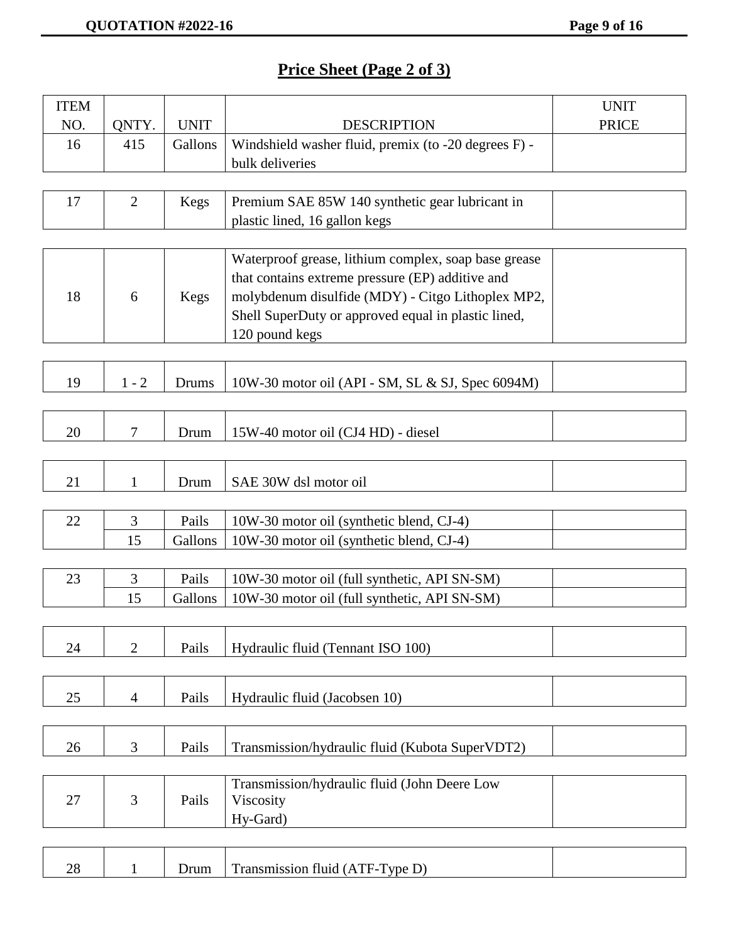# **Price Sheet (Page 2 of 3)**

| <b>ITEM</b> |                |             |                                                      | <b>UNIT</b>  |
|-------------|----------------|-------------|------------------------------------------------------|--------------|
| NO.         | QNTY.          | <b>UNIT</b> | <b>DESCRIPTION</b>                                   | <b>PRICE</b> |
| 16          | 415            | Gallons     | Windshield washer fluid, premix (to -20 degrees F) - |              |
|             |                |             | bulk deliveries                                      |              |
|             |                |             |                                                      |              |
| 17          | $\overline{2}$ | <b>Kegs</b> | Premium SAE 85W 140 synthetic gear lubricant in      |              |
|             |                |             | plastic lined, 16 gallon kegs                        |              |
|             |                |             |                                                      |              |
|             |                |             | Waterproof grease, lithium complex, soap base grease |              |
|             |                |             | that contains extreme pressure (EP) additive and     |              |
| 18          | 6              | Kegs        | molybdenum disulfide (MDY) - Citgo Lithoplex MP2,    |              |
|             |                |             | Shell SuperDuty or approved equal in plastic lined,  |              |
|             |                |             | 120 pound kegs                                       |              |
|             |                |             |                                                      |              |
| 19          | $1 - 2$        |             |                                                      |              |
|             |                | Drums       | 10W-30 motor oil (API - SM, SL & SJ, Spec 6094M)     |              |
|             |                |             |                                                      |              |
| 20          | $\overline{7}$ | Drum        | 15W-40 motor oil (CJ4 HD) - diesel                   |              |
|             |                |             |                                                      |              |
|             |                |             |                                                      |              |
| 21          | 1              | Drum        | SAE 30W dsl motor oil                                |              |
| 22          | 3              | Pails       | 10W-30 motor oil (synthetic blend, CJ-4)             |              |
|             | 15             | Gallons     | 10W-30 motor oil (synthetic blend, CJ-4)             |              |
|             |                |             |                                                      |              |
| 23          | $\mathfrak{Z}$ | Pails       | 10W-30 motor oil (full synthetic, API SN-SM)         |              |
|             | 15             | Gallons     | 10W-30 motor oil (full synthetic, API SN-SM)         |              |
|             |                |             |                                                      |              |
|             |                |             |                                                      |              |
| 24          | $\overline{2}$ | Pails       | Hydraulic fluid (Tennant ISO 100)                    |              |
|             |                |             |                                                      |              |
| 25          | $\overline{4}$ | Pails       | Hydraulic fluid (Jacobsen 10)                        |              |
|             |                |             |                                                      |              |
|             |                |             |                                                      |              |
| 26          | 3              | Pails       | Transmission/hydraulic fluid (Kubota SuperVDT2)      |              |
|             |                |             |                                                      |              |
|             |                |             | Transmission/hydraulic fluid (John Deere Low         |              |
| 27          | 3              | Pails       | Viscosity                                            |              |
|             |                |             | Hy-Gard)                                             |              |
|             |                |             |                                                      |              |
| 28          | $\mathbf{1}$   | Drum        | Transmission fluid (ATF-Type D)                      |              |
|             |                |             |                                                      |              |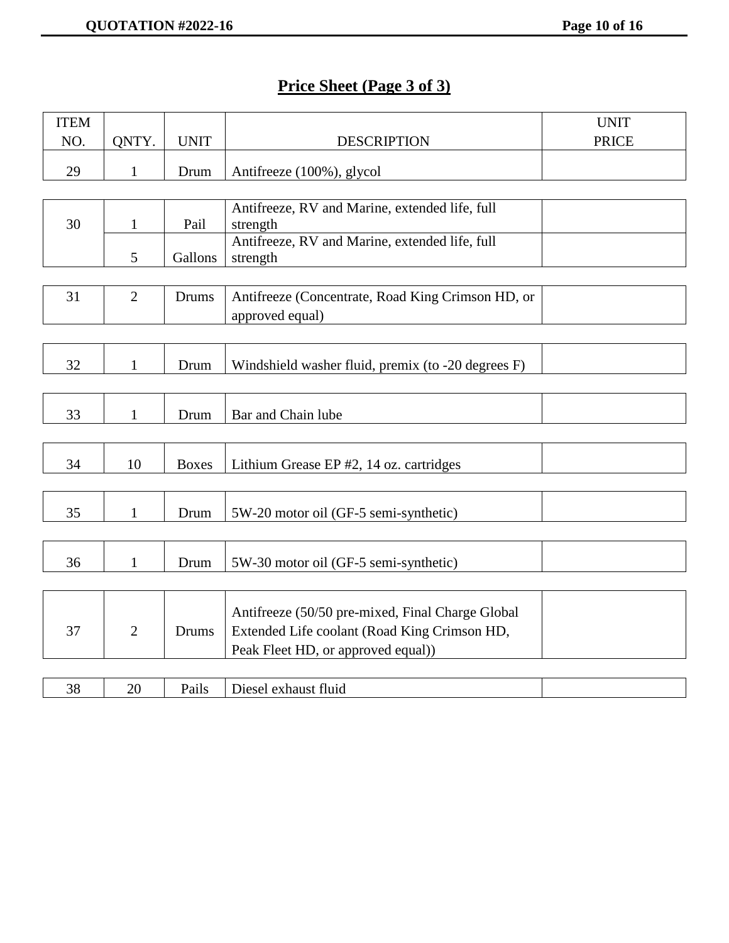# **Price Sheet (Page 3 of 3)**

| <b>ITEM</b> |                |              |                                                            | <b>UNIT</b>  |
|-------------|----------------|--------------|------------------------------------------------------------|--------------|
| NO.         | QNTY.          | <b>UNIT</b>  | <b>DESCRIPTION</b>                                         | <b>PRICE</b> |
| 29          | $\mathbf{1}$   | Drum         | Antifreeze (100%), glycol                                  |              |
|             |                |              |                                                            |              |
| 30          | $\mathbf{1}$   | Pail         | Antifreeze, RV and Marine, extended life, full<br>strength |              |
|             | 5              | Gallons      | Antifreeze, RV and Marine, extended life, full<br>strength |              |
|             |                |              |                                                            |              |
| 31          | $\overline{2}$ | Drums        | Antifreeze (Concentrate, Road King Crimson HD, or          |              |
|             |                |              | approved equal)                                            |              |
|             |                |              |                                                            |              |
| 32          | $\mathbf{1}$   | Drum         | Windshield washer fluid, premix (to -20 degrees F)         |              |
|             |                |              |                                                            |              |
| 33          | $\mathbf{1}$   | Drum         | Bar and Chain lube                                         |              |
|             |                |              |                                                            |              |
| 34          | 10             | <b>Boxes</b> | Lithium Grease EP #2, 14 oz. cartridges                    |              |
|             |                |              |                                                            |              |
| 35          | $\mathbf{1}$   | Drum         | 5W-20 motor oil (GF-5 semi-synthetic)                      |              |
|             |                |              |                                                            |              |
| 36          | $\mathbf{1}$   | Drum         | 5W-30 motor oil (GF-5 semi-synthetic)                      |              |
|             |                |              |                                                            |              |
|             |                |              | Antifreeze (50/50 pre-mixed, Final Charge Global           |              |
| 37          | $\overline{2}$ | <b>Drums</b> | Extended Life coolant (Road King Crimson HD,               |              |
|             |                |              | Peak Fleet HD, or approved equal))                         |              |
|             |                |              |                                                            |              |
| 38          | 20             | Pails        | Diesel exhaust fluid                                       |              |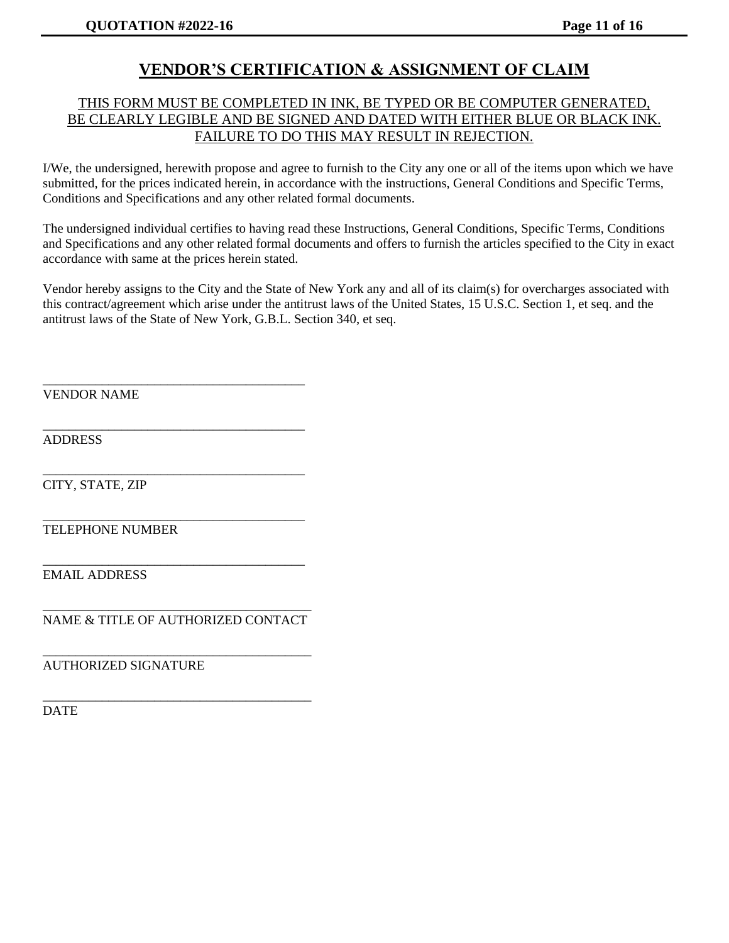## **VENDOR'S CERTIFICATION & ASSIGNMENT OF CLAIM**

### THIS FORM MUST BE COMPLETED IN INK, BE TYPED OR BE COMPUTER GENERATED, BE CLEARLY LEGIBLE AND BE SIGNED AND DATED WITH EITHER BLUE OR BLACK INK. FAILURE TO DO THIS MAY RESULT IN REJECTION.

I/We, the undersigned, herewith propose and agree to furnish to the City any one or all of the items upon which we have submitted, for the prices indicated herein, in accordance with the instructions, General Conditions and Specific Terms, Conditions and Specifications and any other related formal documents.

The undersigned individual certifies to having read these Instructions, General Conditions, Specific Terms, Conditions and Specifications and any other related formal documents and offers to furnish the articles specified to the City in exact accordance with same at the prices herein stated.

Vendor hereby assigns to the City and the State of New York any and all of its claim(s) for overcharges associated with this contract/agreement which arise under the antitrust laws of the United States, 15 U.S.C. Section 1, et seq. and the antitrust laws of the State of New York, G.B.L. Section 340, et seq.

VENDOR NAME

ADDRESS

CITY, STATE, ZIP

\_\_\_\_\_\_\_\_\_\_\_\_\_\_\_\_\_\_\_\_\_\_\_\_\_\_\_\_\_\_\_\_\_\_\_\_\_\_\_\_ TELEPHONE NUMBER

EMAIL ADDRESS

\_\_\_\_\_\_\_\_\_\_\_\_\_\_\_\_\_\_\_\_\_\_\_\_\_\_\_\_\_\_\_\_\_\_\_\_\_\_\_\_\_ NAME & TITLE OF AUTHORIZED CONTACT

\_\_\_\_\_\_\_\_\_\_\_\_\_\_\_\_\_\_\_\_\_\_\_\_\_\_\_\_\_\_\_\_\_\_\_\_\_\_\_\_\_

\_\_\_\_\_\_\_\_\_\_\_\_\_\_\_\_\_\_\_\_\_\_\_\_\_\_\_\_\_\_\_\_\_\_\_\_\_\_\_\_\_

\_\_\_\_\_\_\_\_\_\_\_\_\_\_\_\_\_\_\_\_\_\_\_\_\_\_\_\_\_\_\_\_\_\_\_\_\_\_\_\_

\_\_\_\_\_\_\_\_\_\_\_\_\_\_\_\_\_\_\_\_\_\_\_\_\_\_\_\_\_\_\_\_\_\_\_\_\_\_\_\_

\_\_\_\_\_\_\_\_\_\_\_\_\_\_\_\_\_\_\_\_\_\_\_\_\_\_\_\_\_\_\_\_\_\_\_\_\_\_\_\_

\_\_\_\_\_\_\_\_\_\_\_\_\_\_\_\_\_\_\_\_\_\_\_\_\_\_\_\_\_\_\_\_\_\_\_\_\_\_\_\_

AUTHORIZED SIGNATURE

DATE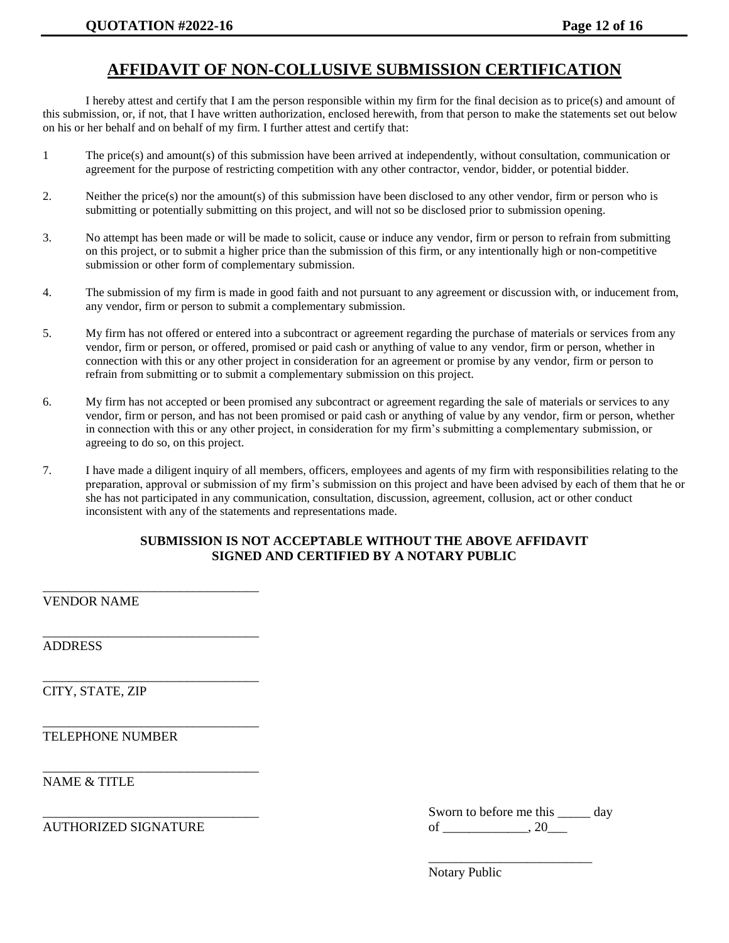## **AFFIDAVIT OF NON-COLLUSIVE SUBMISSION CERTIFICATION**

I hereby attest and certify that I am the person responsible within my firm for the final decision as to price(s) and amount of this submission, or, if not, that I have written authorization, enclosed herewith, from that person to make the statements set out below on his or her behalf and on behalf of my firm. I further attest and certify that:

- 1 The price(s) and amount(s) of this submission have been arrived at independently, without consultation, communication or agreement for the purpose of restricting competition with any other contractor, vendor, bidder, or potential bidder.
- 2. Neither the price(s) nor the amount(s) of this submission have been disclosed to any other vendor, firm or person who is submitting or potentially submitting on this project, and will not so be disclosed prior to submission opening.
- 3. No attempt has been made or will be made to solicit, cause or induce any vendor, firm or person to refrain from submitting on this project, or to submit a higher price than the submission of this firm, or any intentionally high or non-competitive submission or other form of complementary submission.
- 4. The submission of my firm is made in good faith and not pursuant to any agreement or discussion with, or inducement from, any vendor, firm or person to submit a complementary submission.
- 5. My firm has not offered or entered into a subcontract or agreement regarding the purchase of materials or services from any vendor, firm or person, or offered, promised or paid cash or anything of value to any vendor, firm or person, whether in connection with this or any other project in consideration for an agreement or promise by any vendor, firm or person to refrain from submitting or to submit a complementary submission on this project.
- 6. My firm has not accepted or been promised any subcontract or agreement regarding the sale of materials or services to any vendor, firm or person, and has not been promised or paid cash or anything of value by any vendor, firm or person, whether in connection with this or any other project, in consideration for my firm's submitting a complementary submission, or agreeing to do so, on this project.
- 7. I have made a diligent inquiry of all members, officers, employees and agents of my firm with responsibilities relating to the preparation, approval or submission of my firm's submission on this project and have been advised by each of them that he or she has not participated in any communication, consultation, discussion, agreement, collusion, act or other conduct inconsistent with any of the statements and representations made.

#### **SUBMISSION IS NOT ACCEPTABLE WITHOUT THE ABOVE AFFIDAVIT SIGNED AND CERTIFIED BY A NOTARY PUBLIC**

VENDOR NAME

\_\_\_\_\_\_\_\_\_\_\_\_\_\_\_\_\_\_\_\_\_\_\_\_\_\_\_\_\_\_\_\_\_

\_\_\_\_\_\_\_\_\_\_\_\_\_\_\_\_\_\_\_\_\_\_\_\_\_\_\_\_\_\_\_\_\_

\_\_\_\_\_\_\_\_\_\_\_\_\_\_\_\_\_\_\_\_\_\_\_\_\_\_\_\_\_\_\_\_\_

\_\_\_\_\_\_\_\_\_\_\_\_\_\_\_\_\_\_\_\_\_\_\_\_\_\_\_\_\_\_\_\_\_

\_\_\_\_\_\_\_\_\_\_\_\_\_\_\_\_\_\_\_\_\_\_\_\_\_\_\_\_\_\_\_\_\_

ADDRESS

CITY, STATE, ZIP

TELEPHONE NUMBER

NAME & TITLE

|                      | Sworn to before me this | dav |
|----------------------|-------------------------|-----|
| AUTHORIZED SIGNATURE |                         |     |

\_\_\_\_\_\_\_\_\_\_\_\_\_\_\_\_\_\_\_\_\_\_\_\_\_

| Notary Public |  |
|---------------|--|
|---------------|--|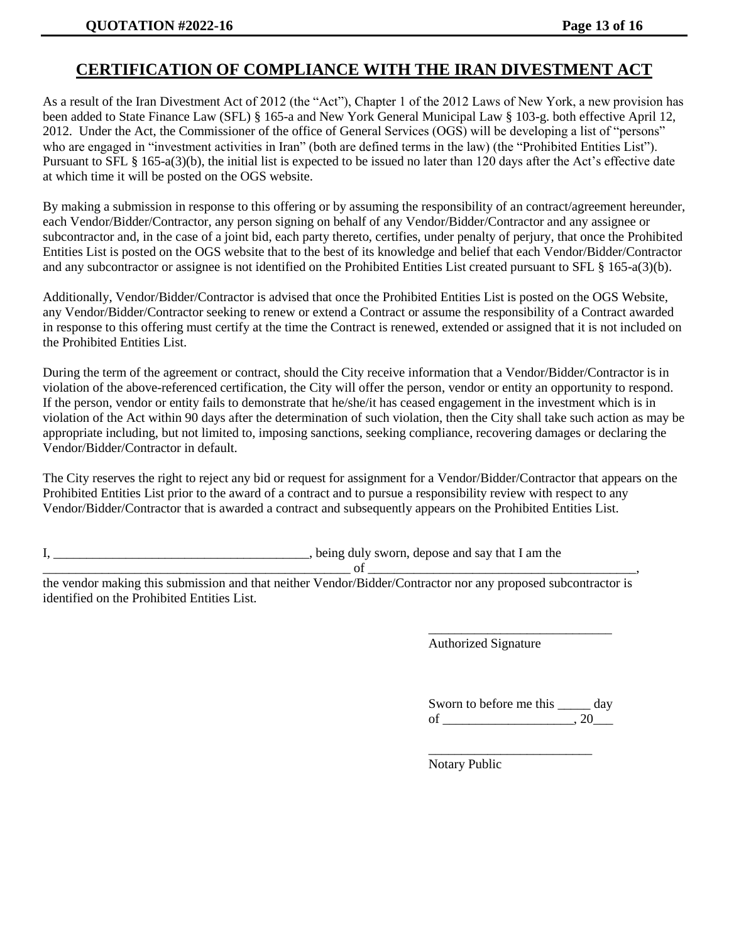## **CERTIFICATION OF COMPLIANCE WITH THE IRAN DIVESTMENT ACT**

As a result of the Iran Divestment Act of 2012 (the "Act"), Chapter 1 of the 2012 Laws of New York, a new provision has been added to State Finance Law (SFL) § 165-a and New York General Municipal Law § 103-g. both effective April 12, 2012. Under the Act, the Commissioner of the office of General Services (OGS) will be developing a list of "persons" who are engaged in "investment activities in Iran" (both are defined terms in the law) (the "Prohibited Entities List"). Pursuant to SFL § 165-a(3)(b), the initial list is expected to be issued no later than 120 days after the Act's effective date at which time it will be posted on the OGS website.

By making a submission in response to this offering or by assuming the responsibility of an contract/agreement hereunder, each Vendor/Bidder/Contractor, any person signing on behalf of any Vendor/Bidder/Contractor and any assignee or subcontractor and, in the case of a joint bid, each party thereto, certifies, under penalty of perjury, that once the Prohibited Entities List is posted on the OGS website that to the best of its knowledge and belief that each Vendor/Bidder/Contractor and any subcontractor or assignee is not identified on the Prohibited Entities List created pursuant to SFL § 165-a(3)(b).

Additionally, Vendor/Bidder/Contractor is advised that once the Prohibited Entities List is posted on the OGS Website, any Vendor/Bidder/Contractor seeking to renew or extend a Contract or assume the responsibility of a Contract awarded in response to this offering must certify at the time the Contract is renewed, extended or assigned that it is not included on the Prohibited Entities List.

During the term of the agreement or contract, should the City receive information that a Vendor/Bidder/Contractor is in violation of the above-referenced certification, the City will offer the person, vendor or entity an opportunity to respond. If the person, vendor or entity fails to demonstrate that he/she/it has ceased engagement in the investment which is in violation of the Act within 90 days after the determination of such violation, then the City shall take such action as may be appropriate including, but not limited to, imposing sanctions, seeking compliance, recovering damages or declaring the Vendor/Bidder/Contractor in default.

The City reserves the right to reject any bid or request for assignment for a Vendor/Bidder/Contractor that appears on the Prohibited Entities List prior to the award of a contract and to pursue a responsibility review with respect to any Vendor/Bidder/Contractor that is awarded a contract and subsequently appears on the Prohibited Entities List.

I, \_\_\_\_\_\_\_\_\_\_\_\_\_\_\_\_\_\_\_\_\_\_\_\_\_\_\_\_\_\_\_\_\_\_\_\_\_\_\_, being duly sworn, depose and say that I am the

\_\_\_\_\_\_\_\_\_\_\_\_\_\_\_\_\_\_\_\_\_\_\_\_\_\_\_\_\_\_\_\_\_\_\_\_\_\_\_\_\_\_\_\_\_\_\_ of \_\_\_\_\_\_\_\_\_\_\_\_\_\_\_\_\_\_\_\_\_\_\_\_\_\_\_\_\_\_\_\_\_\_\_\_\_\_\_\_\_,

the vendor making this submission and that neither Vendor/Bidder/Contractor nor any proposed subcontractor is identified on the Prohibited Entities List.

Authorized Signature

| Sworn to before me this | dav |
|-------------------------|-----|
| of                      |     |

\_\_\_\_\_\_\_\_\_\_\_\_\_\_\_\_\_\_\_\_\_\_\_\_\_

\_\_\_\_\_\_\_\_\_\_\_\_\_\_\_\_\_\_\_\_\_\_\_\_\_\_\_\_

Notary Public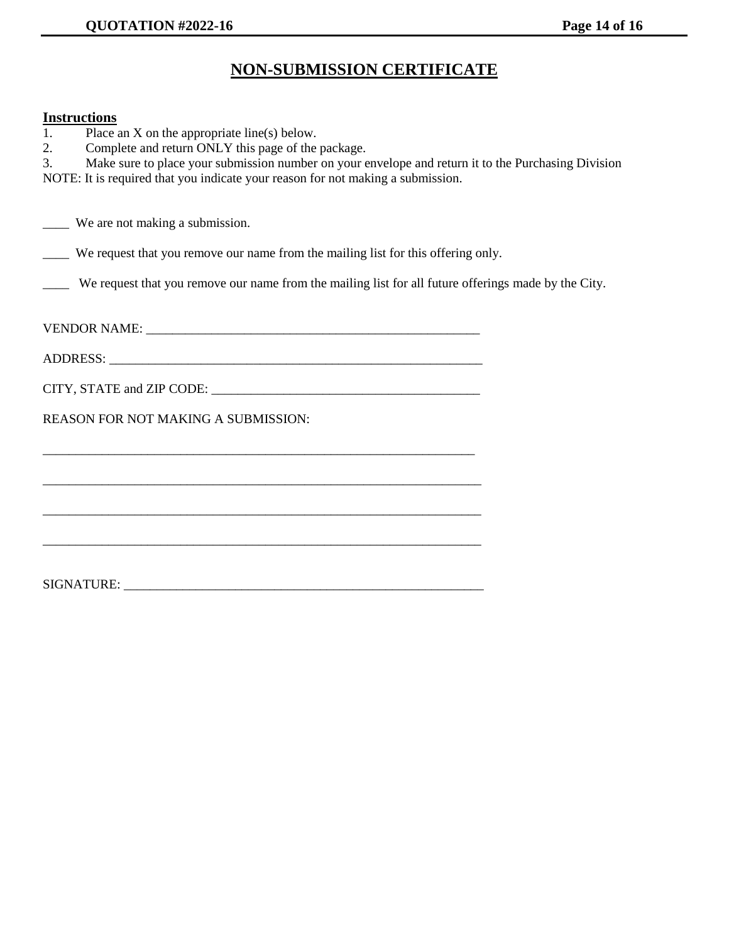## **NON-SUBMISSION CERTIFICATE**

### **Instructions**

| 1. | Place an $X$ on the appropriate line(s) below.                                                                        |  |
|----|-----------------------------------------------------------------------------------------------------------------------|--|
| 2. | Complete and return ONLY this page of the package.                                                                    |  |
| 3. | Make sure to place your submission number on your envelope and return it to the Purchasing Division                   |  |
|    | NOTE: It is required that you indicate your reason for not making a submission.                                       |  |
|    |                                                                                                                       |  |
|    | _____ We are not making a submission.                                                                                 |  |
|    | We request that you remove our name from the mailing list for this offering only.                                     |  |
|    | We request that you remove our name from the mailing list for all future offerings made by the City.                  |  |
|    |                                                                                                                       |  |
|    |                                                                                                                       |  |
|    |                                                                                                                       |  |
|    | REASON FOR NOT MAKING A SUBMISSION:                                                                                   |  |
|    | <u> 1989 - Johann Barbara, markazar margolaria (h. 1989).</u>                                                         |  |
|    |                                                                                                                       |  |
|    | <u> 1989 - Johann Stoff, deutscher Stoff, der Stoff, der Stoff, der Stoff, der Stoff, der Stoff, der Stoff, der S</u> |  |
|    |                                                                                                                       |  |
|    |                                                                                                                       |  |
|    |                                                                                                                       |  |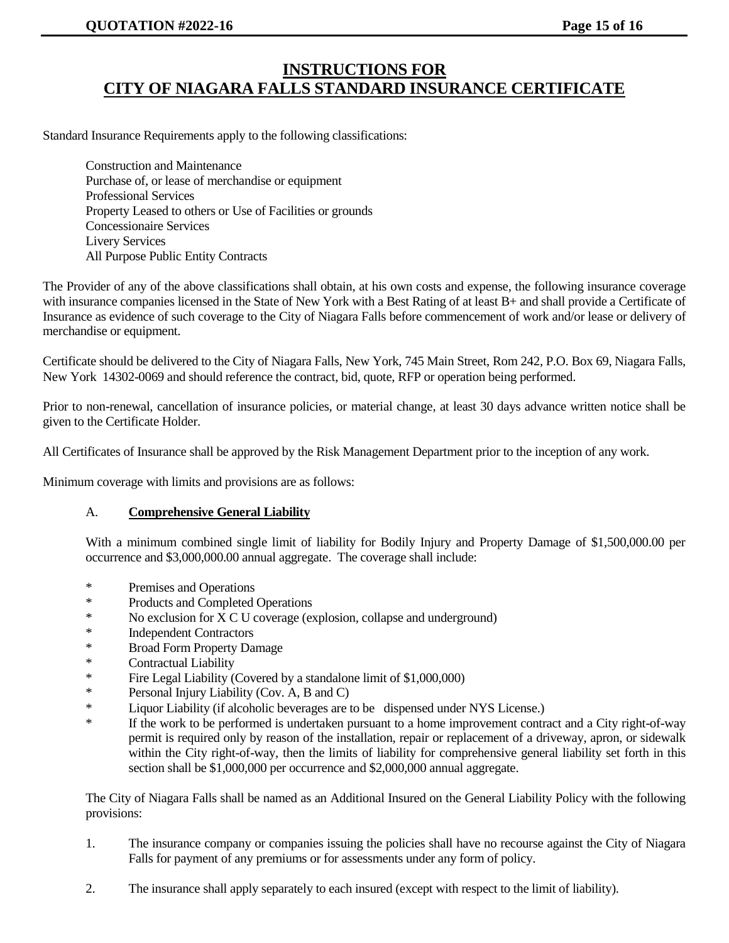## **INSTRUCTIONS FOR CITY OF NIAGARA FALLS STANDARD INSURANCE CERTIFICATE**

Standard Insurance Requirements apply to the following classifications:

Construction and Maintenance Purchase of, or lease of merchandise or equipment Professional Services Property Leased to others or Use of Facilities or grounds Concessionaire Services Livery Services All Purpose Public Entity Contracts

The Provider of any of the above classifications shall obtain, at his own costs and expense, the following insurance coverage with insurance companies licensed in the State of New York with a Best Rating of at least B+ and shall provide a Certificate of Insurance as evidence of such coverage to the City of Niagara Falls before commencement of work and/or lease or delivery of merchandise or equipment.

Certificate should be delivered to the City of Niagara Falls, New York, 745 Main Street, Rom 242, P.O. Box 69, Niagara Falls, New York 14302-0069 and should reference the contract, bid, quote, RFP or operation being performed.

Prior to non-renewal, cancellation of insurance policies, or material change, at least 30 days advance written notice shall be given to the Certificate Holder.

All Certificates of Insurance shall be approved by the Risk Management Department prior to the inception of any work.

Minimum coverage with limits and provisions are as follows:

#### A. **Comprehensive General Liability**

With a minimum combined single limit of liability for Bodily Injury and Property Damage of \$1,500,000.00 per occurrence and \$3,000,000.00 annual aggregate. The coverage shall include:

- \* Premises and Operations
- \* Products and Completed Operations
- \* No exclusion for X C U coverage (explosion, collapse and underground)
- \* Independent Contractors
- \* Broad Form Property Damage
- Contractual Liability
- \* Fire Legal Liability (Covered by a standalone limit of \$1,000,000)
- \* Personal Injury Liability (Cov. A, B and C)
- \* Liquor Liability (if alcoholic beverages are to be dispensed under NYS License.)
- \* If the work to be performed is undertaken pursuant to a home improvement contract and a City right-of-way permit is required only by reason of the installation, repair or replacement of a driveway, apron, or sidewalk within the City right-of-way, then the limits of liability for comprehensive general liability set forth in this section shall be \$1,000,000 per occurrence and \$2,000,000 annual aggregate.

The City of Niagara Falls shall be named as an Additional Insured on the General Liability Policy with the following provisions:

- 1. The insurance company or companies issuing the policies shall have no recourse against the City of Niagara Falls for payment of any premiums or for assessments under any form of policy.
- 2. The insurance shall apply separately to each insured (except with respect to the limit of liability).